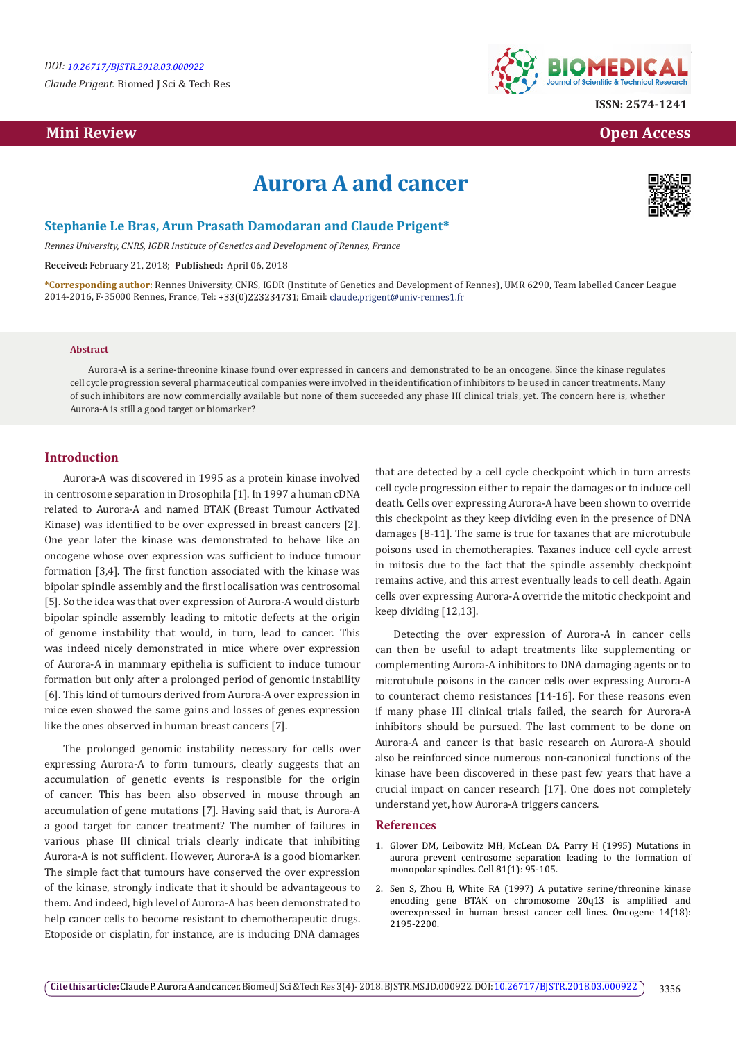*Claude Prigent.* Biomed J Sci & Tech Res

## **Mini Review Open Access**



**ISSN: 2574-1241**

# **Aurora A and cancer**



### **Stephanie Le Bras, Arun Prasath Damodaran and Claude Prigent\***

*Rennes University, CNRS, IGDR Institute of Genetics and Development of Rennes, France*

**Received:** February 21, 2018; **Published:** April 06, 2018

**\*Corresponding author:** Rennes University, CNRS, IGDR (Institute of Genetics and Development of Rennes), UMR 6290, Team labelled Cancer League 2014-2016, F-35000 Rennes, France, Tel: +33(0)223234731; Email: claude.prigent@univ-rennes1.fr

#### **Abstract**

Aurora-A is a serine-threonine kinase found over expressed in cancers and demonstrated to be an oncogene. Since the kinase regulates cell cycle progression several pharmaceutical companies were involved in the identification of inhibitors to be used in cancer treatments. Many of such inhibitors are now commercially available but none of them succeeded any phase III clinical trials, yet. The concern here is, whether Aurora-A is still a good target or biomarker?

#### **Introduction**

Aurora-A was discovered in 1995 as a protein kinase involved in centrosome separation in Drosophila [1]. In 1997 a human cDNA related to Aurora-A and named BTAK (Breast Tumour Activated Kinase) was identified to be over expressed in breast cancers [2]. One year later the kinase was demonstrated to behave like an oncogene whose over expression was sufficient to induce tumour formation [3,4]. The first function associated with the kinase was bipolar spindle assembly and the first localisation was centrosomal [5]. So the idea was that over expression of Aurora-A would disturb bipolar spindle assembly leading to mitotic defects at the origin of genome instability that would, in turn, lead to cancer. This was indeed nicely demonstrated in mice where over expression of Aurora-A in mammary epithelia is sufficient to induce tumour formation but only after a prolonged period of genomic instability [6]. This kind of tumours derived from Aurora-A over expression in mice even showed the same gains and losses of genes expression like the ones observed in human breast cancers [7].

The prolonged genomic instability necessary for cells over expressing Aurora-A to form tumours, clearly suggests that an accumulation of genetic events is responsible for the origin of cancer. This has been also observed in mouse through an accumulation of gene mutations [7]. Having said that, is Aurora-A a good target for cancer treatment? The number of failures in various phase III clinical trials clearly indicate that inhibiting Aurora-A is not sufficient. However, Aurora-A is a good biomarker. The simple fact that tumours have conserved the over expression of the kinase, strongly indicate that it should be advantageous to them. And indeed, high level of Aurora-A has been demonstrated to help cancer cells to become resistant to chemotherapeutic drugs. Etoposide or cisplatin, for instance, are is inducing DNA damages

that are detected by a cell cycle checkpoint which in turn arrests cell cycle progression either to repair the damages or to induce cell death. Cells over expressing Aurora-A have been shown to override this checkpoint as they keep dividing even in the presence of DNA damages [8-11]. The same is true for taxanes that are microtubule poisons used in chemotherapies. Taxanes induce cell cycle arrest in mitosis due to the fact that the spindle assembly checkpoint remains active, and this arrest eventually leads to cell death. Again cells over expressing Aurora-A override the mitotic checkpoint and keep dividing [12,13].

Detecting the over expression of Aurora-A in cancer cells can then be useful to adapt treatments like supplementing or complementing Aurora-A inhibitors to DNA damaging agents or to microtubule poisons in the cancer cells over expressing Aurora-A to counteract chemo resistances [14-16]. For these reasons even if many phase III clinical trials failed, the search for Aurora-A inhibitors should be pursued. The last comment to be done on Aurora-A and cancer is that basic research on Aurora-A should also be reinforced since numerous non-canonical functions of the kinase have been discovered in these past few years that have a crucial impact on cancer research [17]. One does not completely understand yet, how Aurora-A triggers cancers.

#### **References**

- 1. [Glover DM, Leibowitz MH, McLean DA, Parry H \(1995\) Mutations in](https://www.ncbi.nlm.nih.gov/pubmed/7720077) [aurora prevent centrosome separation leading to the formation of](https://www.ncbi.nlm.nih.gov/pubmed/7720077) [monopolar spindles. Cell 81\(1\): 95-105.](https://www.ncbi.nlm.nih.gov/pubmed/7720077)
- 2. [Sen S, Zhou H, White RA \(1997\) A putative serine/threonine kinase](https://www.ncbi.nlm.nih.gov/pubmed/9174055) [encoding gene BTAK on chromosome 20q13 is amplified and](https://www.ncbi.nlm.nih.gov/pubmed/9174055) [overexpressed in human breast cancer cell lines. Oncogene 14\(18\):](https://www.ncbi.nlm.nih.gov/pubmed/9174055) [2195-2200.](https://www.ncbi.nlm.nih.gov/pubmed/9174055)